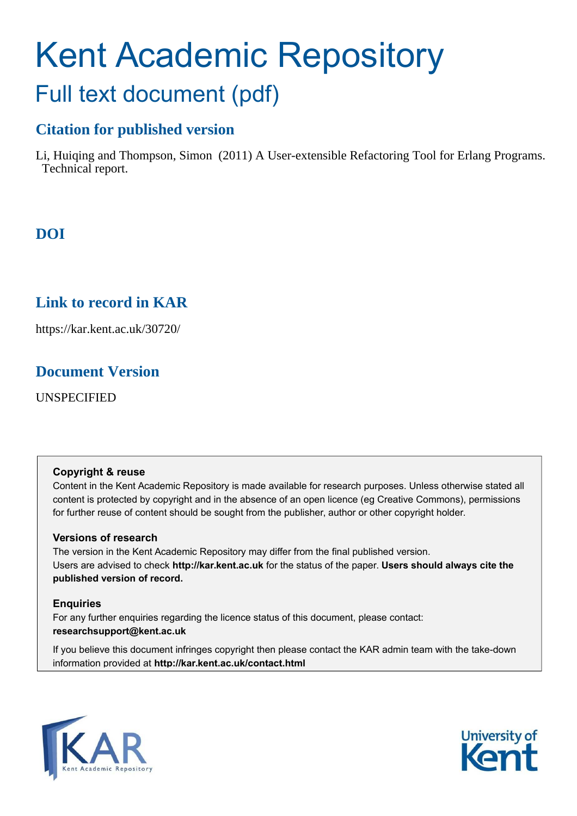# Kent Academic Repository Full text document (pdf)

# **Citation for published version**

Li, Huiqing and Thompson, Simon (2011) A User-extensible Refactoring Tool for Erlang Programs. Technical report.

# **DOI**

# **Link to record in KAR**

https://kar.kent.ac.uk/30720/

# **Document Version**

UNSPECIFIED

## **Copyright & reuse**

Content in the Kent Academic Repository is made available for research purposes. Unless otherwise stated all content is protected by copyright and in the absence of an open licence (eg Creative Commons), permissions for further reuse of content should be sought from the publisher, author or other copyright holder.

## **Versions of research**

The version in the Kent Academic Repository may differ from the final published version. Users are advised to check **http://kar.kent.ac.uk** for the status of the paper. **Users should always cite the published version of record.**

## **Enquiries**

For any further enquiries regarding the licence status of this document, please contact: **researchsupport@kent.ac.uk**

If you believe this document infringes copyright then please contact the KAR admin team with the take-down information provided at **http://kar.kent.ac.uk/contact.html**



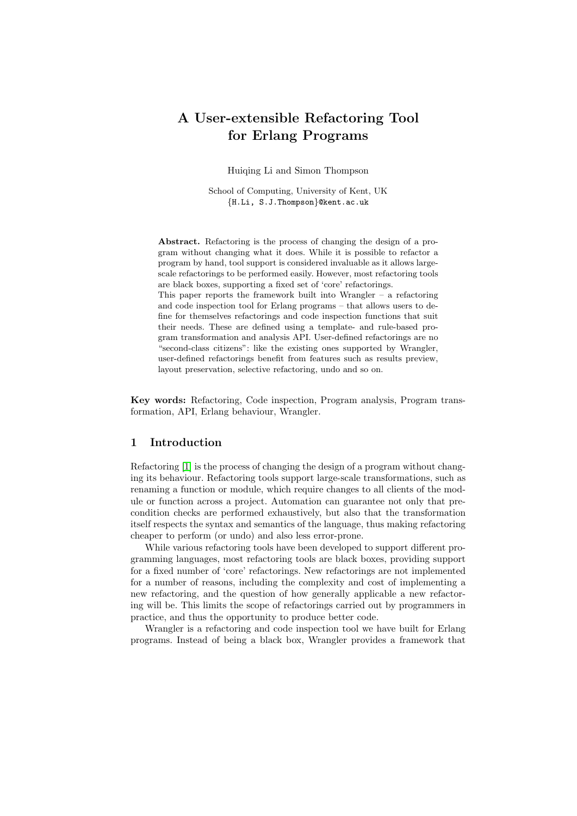# A User-extensible Refactoring Tool for Erlang Programs

<span id="page-1-1"></span>Huiqing Li and Simon Thompson

School of Computing, University of Kent, UK {H.Li, S.J.Thompson}@kent.ac.uk

<span id="page-1-0"></span>Abstract. Refactoring is the process of changing the design of a program without changing what it does. While it is possible to refactor a program by hand, tool support is considered invaluable as it allows largescale refactorings to be performed easily. However, most refactoring tools are black boxes, supporting a fixed set of 'core' refactorings.

This paper reports the framework built into Wrangler – a refactoring and code inspection tool for Erlang programs – that allows users to define for themselves refactorings and code inspection functions that suit their needs. These are defined using a template- and rule-based program transformation and analysis API. User-defined refactorings are no "second-class citizens": like the existing ones supported by Wrangler, user-defined refactorings benefit from features such as results preview, layout preservation, selective refactoring, undo and so on.

Key words: Refactoring, Code inspection, Program analysis, Program transformation, API, Erlang behaviour, Wrangler.

#### 1 Introduction

Refactoring [\[1\]](#page-14-0) is the process of changing the design of a program without changing its behaviour. Refactoring tools support large-scale transformations, such as renaming a function or module, which require changes to all clients of the module or function across a project. Automation can guarantee not only that precondition checks are performed exhaustively, but also that the transformation itself respects the syntax and semantics of the language, thus making refactoring cheaper to perform (or undo) and also less error-prone.

While various refactoring tools have been developed to support different programming languages, most refactoring tools are black boxes, providing support for a fixed number of 'core' refactorings. New refactorings are not implemented for a number of reasons, including the complexity and cost of implementing a new refactoring, and the question of how generally applicable a new refactoring will be. This limits the scope of refactorings carried out by programmers in practice, and thus the opportunity to produce better code.

Wrangler is a refactoring and code inspection tool we have built for Erlang programs. Instead of being a black box, Wrangler provides a framework that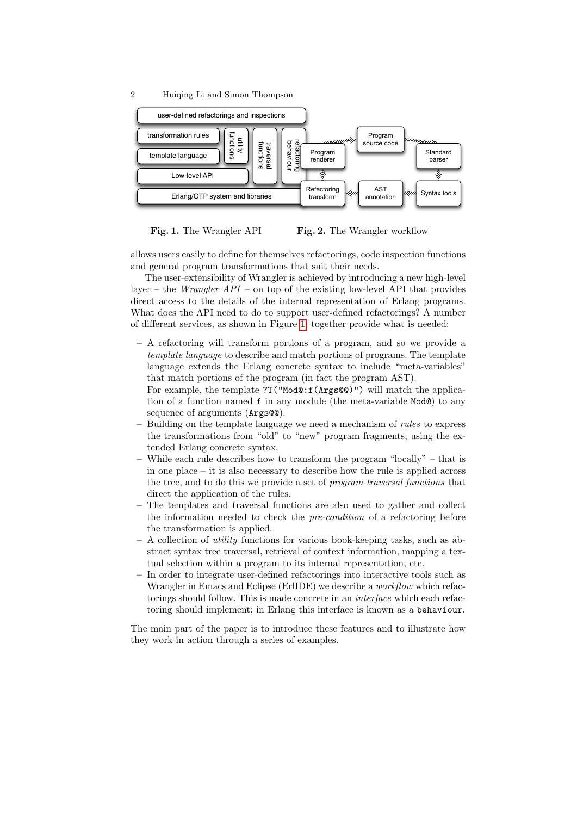

Fig. 1. The Wrangler API Fig. 2. The Wrangler workflow

allows users easily to define for themselves refactorings, code inspection functions and general program transformations that suit their needs.

The user-extensibility of Wrangler is achieved by introducing a new high-level layer – the *Wrangler API* – on top of the existing low-level API that provides direct access to the details of the internal representation of Erlang programs. What does the API need to do to support user-defined refactorings? A number of different services, as shown in Figure [1,](#page-1-0) together provide what is needed:

- <span id="page-2-0"></span>– A refactoring will transform portions of a program, and so we provide a template language to describe and match portions of programs. The template language extends the Erlang concrete syntax to include "meta-variables" that match portions of the program (in fact the program AST).
	- For example, the template ?T("Mod@:f(Args@@)") will match the application of a function named f in any module (the meta-variable Mod@) to any sequence of arguments ( $Arg@@$ ).
- Building on the template language we need a mechanism of rules to express the transformations from "old" to "new" program fragments, using the extended Erlang concrete syntax.
- While each rule describes how to transform the program "locally" that is in one place – it is also necessary to describe how the rule is applied across the tree, and to do this we provide a set of program traversal functions that direct the application of the rules.
- The templates and traversal functions are also used to gather and collect the information needed to check the pre-condition of a refactoring before the transformation is applied.
- <span id="page-2-1"></span> $-$  A collection of *utility* functions for various book-keeping tasks, such as abstract syntax tree traversal, retrieval of context information, mapping a textual selection within a program to its internal representation, etc.
- In order to integrate user-defined refactorings into interactive tools such as Wrangler in Emacs and Eclipse (ErlIDE) we describe a *workflow* which refactorings should follow. This is made concrete in an interface which each refactoring should implement; in Erlang this interface is known as a behaviour.

The main part of the paper is to introduce these features and to illustrate how they work in action through a series of examples.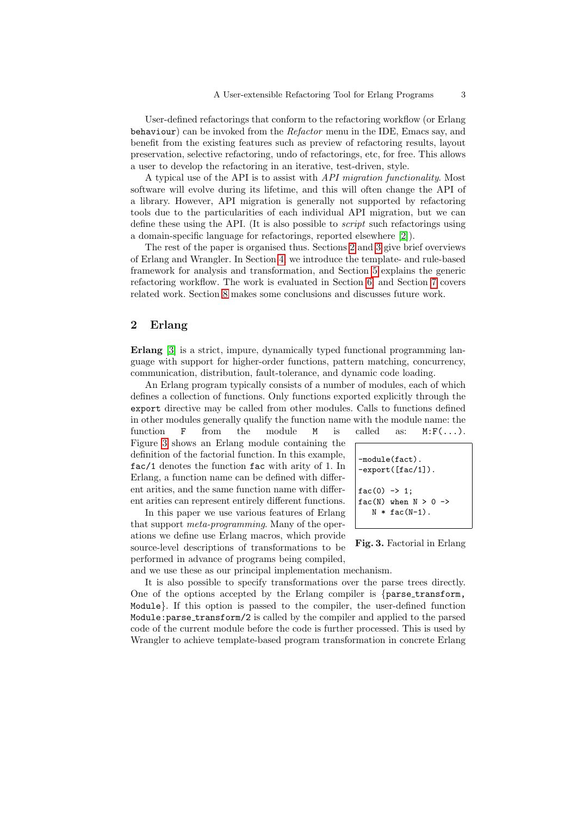User-defined refactorings that conform to the refactoring workflow (or Erlang behaviour) can be invoked from the Refactor menu in the IDE, Emacs say, and benefit from the existing features such as preview of refactoring results, layout preservation, selective refactoring, undo of refactorings, etc, for free. This allows a user to develop the refactoring in an iterative, test-driven, style.

<span id="page-3-0"></span>A typical use of the API is to assist with API migration functionality. Most software will evolve during its lifetime, and this will often change the API of a library. However, API migration is generally not supported by refactoring tools due to the particularities of each individual API migration, but we can define these using the API. (It is also possible to script such refactorings using a domain-specific language for refactorings, reported elsewhere [\[2\]](#page-14-1)).

The rest of the paper is organised thus. Sections [2](#page-2-0) and [3](#page-3-0) give brief overviews of Erlang and Wrangler. In Section [4,](#page-3-1) we introduce the template- and rule-based framework for analysis and transformation, and Section [5](#page-10-0) explains the generic refactoring workflow. The work is evaluated in Section [6,](#page-12-0) and Section [7](#page-12-1) covers related work. Section [8](#page-14-2) makes some conclusions and discusses future work.

### 2 Erlang

Erlang [\[3\]](#page-14-3) is a strict, impure, dynamically typed functional programming language with support for higher-order functions, pattern matching, concurrency, communication, distribution, fault-tolerance, and dynamic code loading.

An Erlang program typically consists of a number of modules, each of which defines a collection of functions. Only functions exported explicitly through the export directive may be called from other modules. Calls to functions defined in other modules generally qualify the function name with the module name: the

function  $F$  from the module  $M$  is called as:  $M: F(\ldots)$ . Figure [3](#page-2-1) shows an Erlang module containing the definition of the factorial function. In this example, fac/1 denotes the function fac with arity of 1. In Erlang, a function name can be defined with different arities, and the same function name with different arities can represent entirely different functions.

In this paper we use various features of Erlang that support meta-programming. Many of the operations we define use Erlang macros, which provide source-level descriptions of transformations to be performed in advance of programs being compiled,

-module(fact). -export([fac/1]). fac(0) -> 1; fac(N) when N > 0 -> N \* fac(N-1).

Fig. 3. Factorial in Erlang

<span id="page-3-1"></span>and we use these as our principal implementation mechanism.

It is also possible to specify transformations over the parse trees directly. One of the options accepted by the Erlang compiler is {parse\_transform, Module}. If this option is passed to the compiler, the user-defined function Module:parse transform/2 is called by the compiler and applied to the parsed code of the current module before the code is further processed. This is used by Wrangler to achieve template-based program transformation in concrete Erlang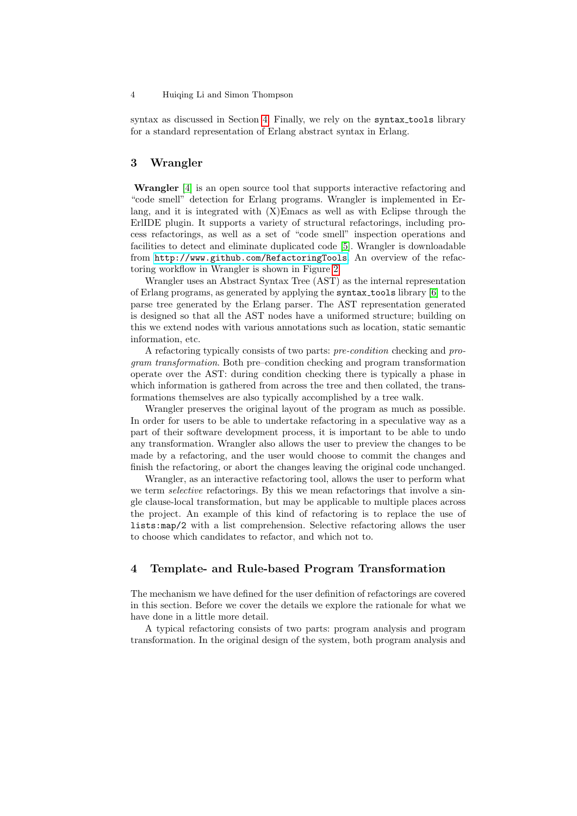syntax as discussed in Section [4.](#page-3-1) Finally, we rely on the syntax tools library for a standard representation of Erlang abstract syntax in Erlang.

## 3 Wrangler

Wrangler [\[4\]](#page-14-4) is an open source tool that supports interactive refactoring and "code smell" detection for Erlang programs. Wrangler is implemented in Erlang, and it is integrated with (X)Emacs as well as with Eclipse through the ErlIDE plugin. It supports a variety of structural refactorings, including process refactorings, as well as a set of "code smell" inspection operations and facilities to detect and eliminate duplicated code [\[5\]](#page-14-5). Wrangler is downloadable from <http://www.github.com/RefactoringTools>. An overview of the refactoring workflow in Wrangler is shown in Figure [2.](#page-1-1)

Wrangler uses an Abstract Syntax Tree (AST) as the internal representation of Erlang programs, as generated by applying the syntax tools library [\[6\]](#page-14-6) to the parse tree generated by the Erlang parser. The AST representation generated is designed so that all the AST nodes have a uniformed structure; building on this we extend nodes with various annotations such as location, static semantic information, etc.

A refactoring typically consists of two parts: pre-condition checking and program transformation. Both pre–condition checking and program transformation operate over the AST: during condition checking there is typically a phase in which information is gathered from across the tree and then collated, the transformations themselves are also typically accomplished by a tree walk.

Wrangler preserves the original layout of the program as much as possible. In order for users to be able to undertake refactoring in a speculative way as a part of their software development process, it is important to be able to undo any transformation. Wrangler also allows the user to preview the changes to be made by a refactoring, and the user would choose to commit the changes and finish the refactoring, or abort the changes leaving the original code unchanged.

Wrangler, as an interactive refactoring tool, allows the user to perform what we term *selective* refactorings. By this we mean refactorings that involve a single clause-local transformation, but may be applicable to multiple places across the project. An example of this kind of refactoring is to replace the use of lists:map/2 with a list comprehension. Selective refactoring allows the user to choose which candidates to refactor, and which not to.

#### 4 Template- and Rule-based Program Transformation

The mechanism we have defined for the user definition of refactorings are covered in this section. Before we cover the details we explore the rationale for what we have done in a little more detail.

A typical refactoring consists of two parts: program analysis and program transformation. In the original design of the system, both program analysis and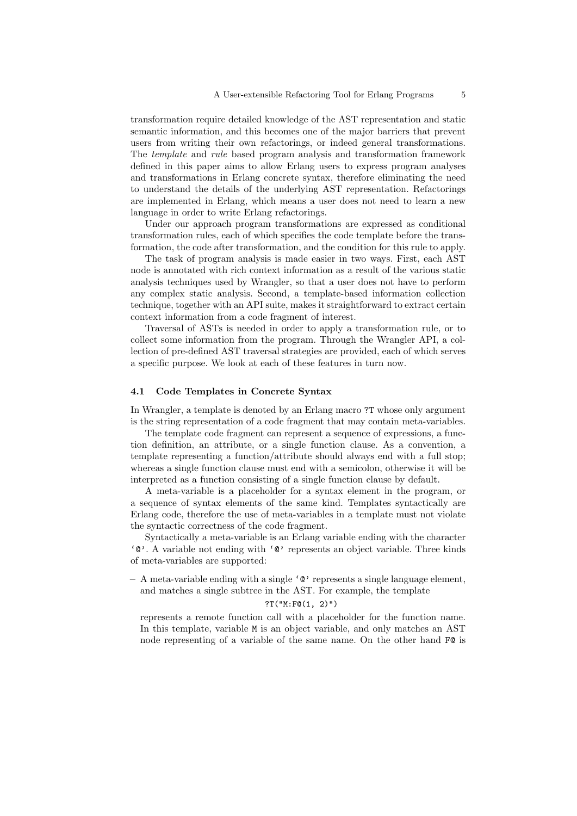transformation require detailed knowledge of the AST representation and static semantic information, and this becomes one of the major barriers that prevent users from writing their own refactorings, or indeed general transformations. The template and rule based program analysis and transformation framework defined in this paper aims to allow Erlang users to express program analyses and transformations in Erlang concrete syntax, therefore eliminating the need to understand the details of the underlying AST representation. Refactorings are implemented in Erlang, which means a user does not need to learn a new language in order to write Erlang refactorings.

Under our approach program transformations are expressed as conditional transformation rules, each of which specifies the code template before the transformation, the code after transformation, and the condition for this rule to apply.

The task of program analysis is made easier in two ways. First, each AST node is annotated with rich context information as a result of the various static analysis techniques used by Wrangler, so that a user does not have to perform any complex static analysis. Second, a template-based information collection technique, together with an API suite, makes it straightforward to extract certain context information from a code fragment of interest.

Traversal of ASTs is needed in order to apply a transformation rule, or to collect some information from the program. Through the Wrangler API, a collection of pre-defined AST traversal strategies are provided, each of which serves a specific purpose. We look at each of these features in turn now.

#### 4.1 Code Templates in Concrete Syntax

In Wrangler, a template is denoted by an Erlang macro ?T whose only argument is the string representation of a code fragment that may contain meta-variables.

The template code fragment can represent a sequence of expressions, a function definition, an attribute, or a single function clause. As a convention, a template representing a function/attribute should always end with a full stop; whereas a single function clause must end with a semicolon, otherwise it will be interpreted as a function consisting of a single function clause by default.

A meta-variable is a placeholder for a syntax element in the program, or a sequence of syntax elements of the same kind. Templates syntactically are Erlang code, therefore the use of meta-variables in a template must not violate the syntactic correctness of the code fragment.

Syntactically a meta-variable is an Erlang variable ending with the character '@'. A variable not ending with '@' represents an object variable. Three kinds of meta-variables are supported:

 $- A$  meta-variable ending with a single ' $\mathbb{C}$ ' represents a single language element, and matches a single subtree in the AST. For example, the template

?T("M:F@(1, 2)")

<span id="page-5-0"></span>represents a remote function call with a placeholder for the function name. In this template, variable M is an object variable, and only matches an AST node representing of a variable of the same name. On the other hand F@ is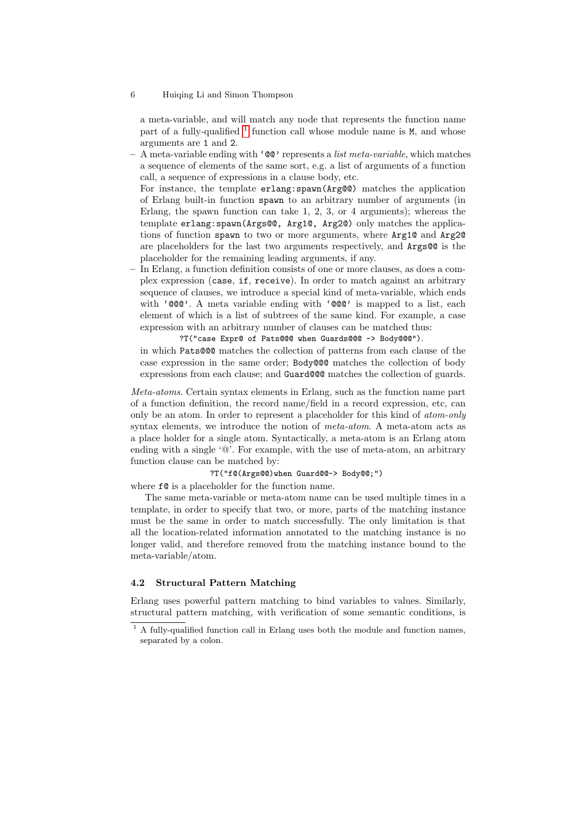a meta-variable, and will match any node that represents the function name part of a fully-qualified <sup>[1](#page-5-0)</sup> function call whose module name is  $M$ , and whose arguments are 1 and 2.

 $- A$  meta-variable ending with ' $@$ ' represents a *list meta-variable*, which matches a sequence of elements of the same sort, e.g. a list of arguments of a function call, a sequence of expressions in a clause body, etc.

For instance, the template erlang:spawn(Arg@@) matches the application of Erlang built-in function spawn to an arbitrary number of arguments (in Erlang, the spawn function can take 1, 2, 3, or 4 arguments); whereas the template erlang:spawn(Args@@, Arg1@, Arg2@) only matches the applications of function spawn to two or more arguments, where Arg1@ and Arg2@ are placeholders for the last two arguments respectively, and Args@@ is the placeholder for the remaining leading arguments, if any.

– In Erlang, a function definition consists of one or more clauses, as does a complex expression (case, if, receive). In order to match against an arbitrary sequence of clauses, we introduce a special kind of meta-variable, which ends with '@@@'. A meta variable ending with '@@@' is mapped to a list, each element of which is a list of subtrees of the same kind. For example, a case expression with an arbitrary number of clauses can be matched thus:

?T("case Expr@ of Pats@@@ when Guards@@@ -> Body@@@"). in which Pats@@@ matches the collection of patterns from each clause of the case expression in the same order; Body@@@ matches the collection of body expressions from each clause; and Guard@@@ matches the collection of guards.

Meta-atoms. Certain syntax elements in Erlang, such as the function name part of a function definition, the record name/field in a record expression, etc, can only be an atom. In order to represent a placeholder for this kind of atom-only syntax elements, we introduce the notion of *meta-atom*. A meta-atom acts as a place holder for a single atom. Syntactically, a meta-atom is an Erlang atom ending with a single '@'. For example, with the use of meta-atom, an arbitrary function clause can be matched by:

?T("f@(Args@@)when Guard@@-> Body@@;")

where  $f$ **@** is a placeholder for the function name.

The same meta-variable or meta-atom name can be used multiple times in a template, in order to specify that two, or more, parts of the matching instance must be the same in order to match successfully. The only limitation is that all the location-related information annotated to the matching instance is no longer valid, and therefore removed from the matching instance bound to the meta-variable/atom.

#### 4.2 Structural Pattern Matching

Erlang uses powerful pattern matching to bind variables to values. Similarly, structural pattern matching, with verification of some semantic conditions, is

 $^{\rm 1}$  A fully-qualified function call in Erlang uses both the module and function names, separated by a colon.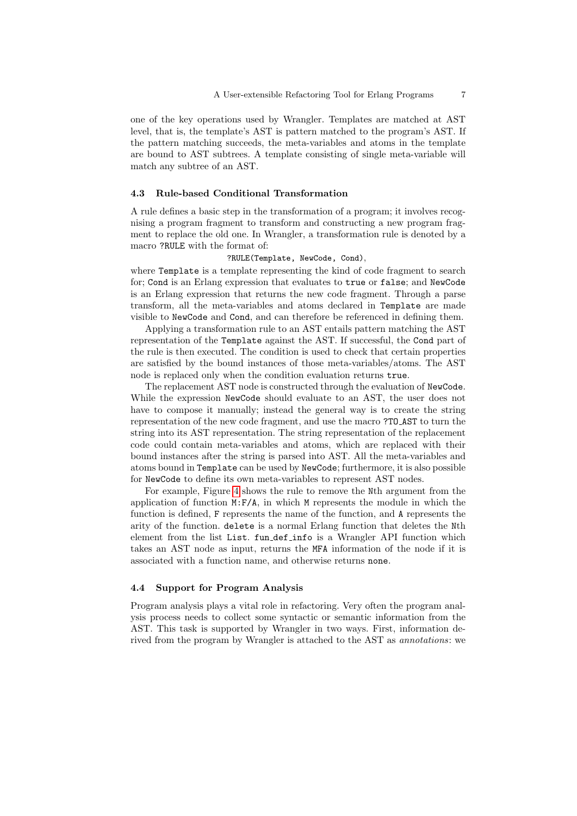one of the key operations used by Wrangler. Templates are matched at AST level, that is, the template's AST is pattern matched to the program's AST. If the pattern matching succeeds, the meta-variables and atoms in the template are bound to AST subtrees. A template consisting of single meta-variable will match any subtree of an AST.

#### 4.3 Rule-based Conditional Transformation

A rule defines a basic step in the transformation of a program; it involves recognising a program fragment to transform and constructing a new program fragment to replace the old one. In Wrangler, a transformation rule is denoted by a macro ?RULE with the format of:

#### <span id="page-7-2"></span><span id="page-7-1"></span>?RULE(Template, NewCode, Cond),

where Template is a template representing the kind of code fragment to search for; Cond is an Erlang expression that evaluates to true or false; and NewCode is an Erlang expression that returns the new code fragment. Through a parse transform, all the meta-variables and atoms declared in Template are made visible to NewCode and Cond, and can therefore be referenced in defining them.

<span id="page-7-0"></span>Applying a transformation rule to an AST entails pattern matching the AST representation of the Template against the AST. If successful, the Cond part of the rule is then executed. The condition is used to check that certain properties are satisfied by the bound instances of those meta-variables/atoms. The AST node is replaced only when the condition evaluation returns true.

The replacement AST node is constructed through the evaluation of NewCode. While the expression NewCode should evaluate to an AST, the user does not have to compose it manually; instead the general way is to create the string representation of the new code fragment, and use the macro ?TO AST to turn the string into its AST representation. The string representation of the replacement code could contain meta-variables and atoms, which are replaced with their bound instances after the string is parsed into AST. All the meta-variables and atoms bound in Template can be used by NewCode; furthermore, it is also possible for NewCode to define its own meta-variables to represent AST nodes.

For example, Figure [4](#page-7-0) shows the rule to remove the Nth argument from the application of function M:F/A, in which M represents the module in which the function is defined, F represents the name of the function, and A represents the arity of the function. delete is a normal Erlang function that deletes the Nth element from the list List. fun def info is a Wrangler API function which takes an AST node as input, returns the MFA information of the node if it is associated with a function name, and otherwise returns none.

#### 4.4 Support for Program Analysis

Program analysis plays a vital role in refactoring. Very often the program analysis process needs to collect some syntactic or semantic information from the AST. This task is supported by Wrangler in two ways. First, information derived from the program by Wrangler is attached to the AST as *annotations*: we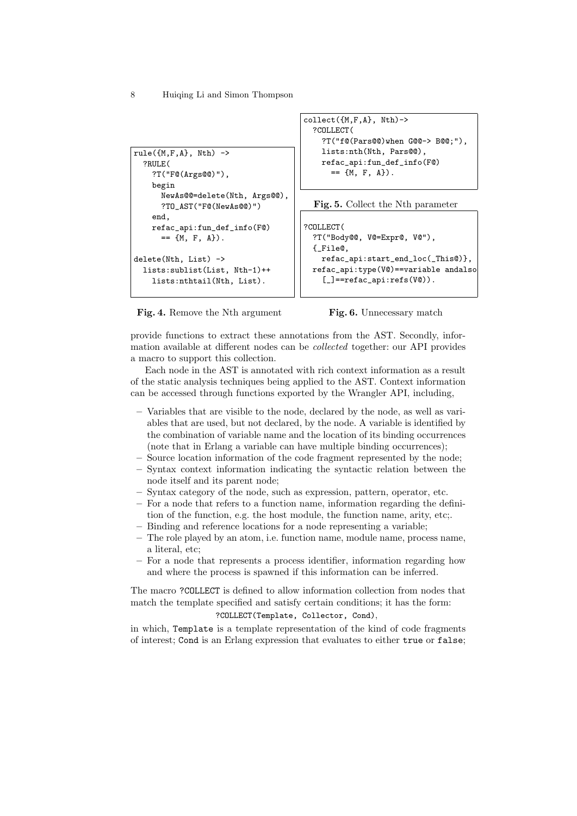```
rule(\{M,F,A\}, Nth) ->
  ?RULE(
    ?T("F@(Args@@)"),
    begin
      NewAs@@=delete(Nth, Args@@),
      ?TO_AST("F@(NewAs@@)")
    end,
    refac_api:fun_def_info(F@)
      == {M, F, A}.delete(Nth, List) ->
  lists:sublist(List, Nth-1)++
    lists:nthtail(Nth, List).
```

```
collect({M,F,A}, Nth)->
  ?COLLECT(
    ?T("f@(Pars@@)when G@@-> B@@;"),
    lists:nth(Nth, Pars@@),
    refac_api:fun_def_info(F@)
      == {M, F, A}.
```

```
Fig. 5. Collect the Nth parameter
```

```
?COLLECT(
 ?T("Body@@, V@=Expr@, V@"),
 {_File@,
   refac_api:start_end_loc(_This@)},
 refac_api:type(V@)==variable andalso
    [\_]==refac_api:refs(V@)).
```
Fig. 4. Remove the Nth argument



provide functions to extract these annotations from the AST. Secondly, information available at different nodes can be collected together: our API provides a macro to support this collection.

<span id="page-8-0"></span>Each node in the AST is annotated with rich context information as a result of the static analysis techniques being applied to the AST. Context information can be accessed through functions exported by the Wrangler API, including,

- Variables that are visible to the node, declared by the node, as well as variables that are used, but not declared, by the node. A variable is identified by the combination of variable name and the location of its binding occurrences (note that in Erlang a variable can have multiple binding occurrences);
- Source location information of the code fragment represented by the node;
- Syntax context information indicating the syntactic relation between the node itself and its parent node;
- Syntax category of the node, such as expression, pattern, operator, etc.
- For a node that refers to a function name, information regarding the definition of the function, e.g. the host module, the function name, arity, etc;.
- Binding and reference locations for a node representing a variable;
- The role played by an atom, i.e. function name, module name, process name, a literal, etc;
- For a node that represents a process identifier, information regarding how and where the process is spawned if this information can be inferred.

The macro ?COLLECT is defined to allow information collection from nodes that match the template specified and satisfy certain conditions; it has the form:

#### ?COLLECT(Template, Collector, Cond),

in which, Template is a template representation of the kind of code fragments of interest; Cond is an Erlang expression that evaluates to either true or false;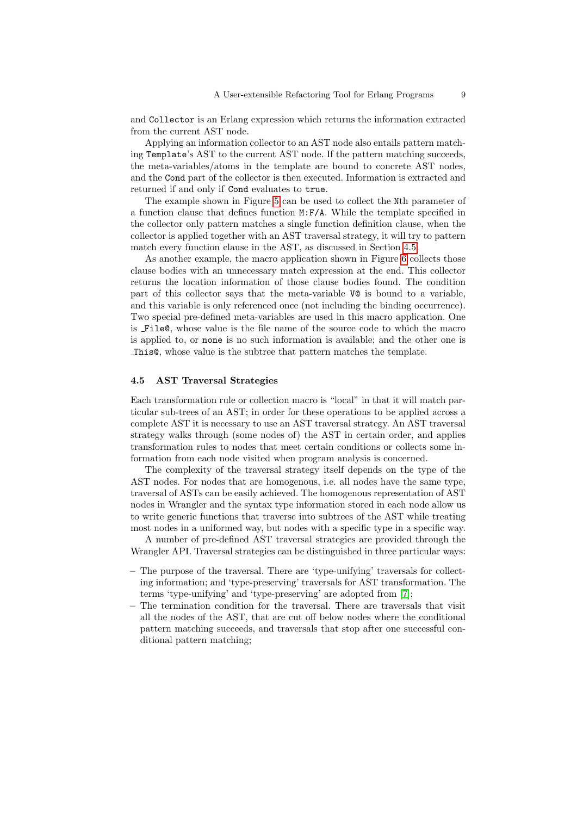and Collector is an Erlang expression which returns the information extracted from the current AST node.

Applying an information collector to an AST node also entails pattern matching Template's AST to the current AST node. If the pattern matching succeeds, the meta-variables/atoms in the template are bound to concrete AST nodes, and the Cond part of the collector is then executed. Information is extracted and returned if and only if Cond evaluates to true.

The example shown in Figure [5](#page-7-1) can be used to collect the Nth parameter of a function clause that defines function M:F/A. While the template specified in the collector only pattern matches a single function definition clause, when the collector is applied together with an AST traversal strategy, it will try to pattern match every function clause in the AST, as discussed in Section [4.5.](#page-8-0)

As another example, the macro application shown in Figure [6](#page-7-2) collects those clause bodies with an unnecessary match expression at the end. This collector returns the location information of those clause bodies found. The condition part of this collector says that the meta-variable V@ is bound to a variable, and this variable is only referenced once (not including the binding occurrence). Two special pre-defined meta-variables are used in this macro application. One is File@, whose value is the file name of the source code to which the macro is applied to, or none is no such information is available; and the other one is This@, whose value is the subtree that pattern matches the template.

#### 4.5 AST Traversal Strategies

Each transformation rule or collection macro is "local" in that it will match particular sub-trees of an AST; in order for these operations to be applied across a complete AST it is necessary to use an AST traversal strategy. An AST traversal strategy walks through (some nodes of) the AST in certain order, and applies transformation rules to nodes that meet certain conditions or collects some information from each node visited when program analysis is concerned.

The complexity of the traversal strategy itself depends on the type of the AST nodes. For nodes that are homogenous, i.e. all nodes have the same type, traversal of ASTs can be easily achieved. The homogenous representation of AST nodes in Wrangler and the syntax type information stored in each node allow us to write generic functions that traverse into subtrees of the AST while treating most nodes in a uniformed way, but nodes with a specific type in a specific way.

<span id="page-9-0"></span>A number of pre-defined AST traversal strategies are provided through the Wrangler API. Traversal strategies can be distinguished in three particular ways:

- The purpose of the traversal. There are 'type-unifying' traversals for collecting information; and 'type-preserving' traversals for AST transformation. The terms 'type-unifying' and 'type-preserving' are adopted from [\[7\]](#page-14-7);
- The termination condition for the traversal. There are traversals that visit all the nodes of the AST, that are cut off below nodes where the conditional pattern matching succeeds, and traversals that stop after one successful conditional pattern matching;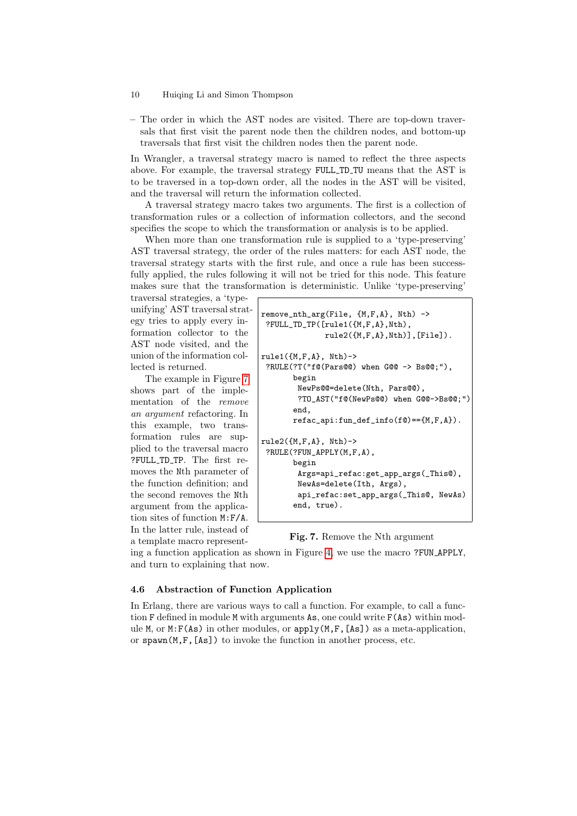– The order in which the AST nodes are visited. There are top-down traversals that first visit the parent node then the children nodes, and bottom-up traversals that first visit the children nodes then the parent node.

In Wrangler, a traversal strategy macro is named to reflect the three aspects above. For example, the traversal strategy FULL TD TU means that the AST is to be traversed in a top-down order, all the nodes in the AST will be visited, and the traversal will return the information collected.

A traversal strategy macro takes two arguments. The first is a collection of transformation rules or a collection of information collectors, and the second specifies the scope to which the transformation or analysis is to be applied.

When more than one transformation rule is supplied to a 'type-preserving' AST traversal strategy, the order of the rules matters: for each AST node, the traversal strategy starts with the first rule, and once a rule has been successfully applied, the rules following it will not be tried for this node. This feature makes sure that the transformation is deterministic. Unlike 'type-preserving'

<span id="page-10-0"></span>traversal strategies, a 'typeunifying' AST traversal strategy tries to apply every information collector to the AST node visited, and the union of the information collected is returned.

The example in Figure [7](#page-9-0) shows part of the implementation of the remove an argument refactoring. In this example, two transformation rules are supplied to the traversal macro ?FULL\_TD\_TP. The first removes the Nth parameter of the function definition; and the second removes the Nth argument from the application sites of function M:F/A. In the latter rule, instead of a template macro represent-

```
remove_nth_arg(File, {M,F,A}, Nth) ->
?FULL_TD_TP([rule1({M,F,A},Nth),
              rule2({M,F,A},Nth)],[File]).
rule1(fM.F.A}. Nth)->
?RULE(?T("f@(Pars@@) when G@@ -> Bs@@;"),
      begin
       NewPs@@=delete(Nth, Pars@@),
        ?TO_AST("f@(NewPs@@) when G@@->Bs@@;")
      end,
      refac\_api:fun\_def\_info(f@) == {M,F,A}.rule2(fM.F.A}. With)->
?RULE(?FUN_APPLY(M,F,A),
      begin
        Args=api_refac:get_app_args(_This@),
        NewAs=delete(Ith, Args),
        api_refac:set_app_args(_This@, NewAs)
       end, true).
```
Fig. 7. Remove the Nth argument

ing a function application as shown in Figure [4,](#page-7-0) we use the macro ?FUN APPLY, and turn to explaining that now.

#### 4.6 Abstraction of Function Application

In Erlang, there are various ways to call a function. For example, to call a function F defined in module M with arguments As, one could write F(As) within module M, or M:F(As) in other modules, or apply(M,F,[As]) as a meta-application, or  $spam(M,F,[As])$  to invoke the function in another process, etc.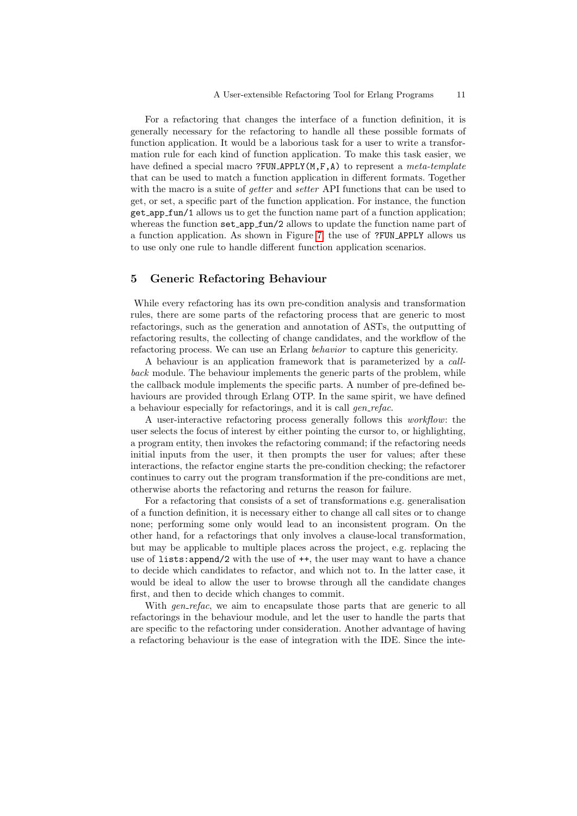For a refactoring that changes the interface of a function definition, it is generally necessary for the refactoring to handle all these possible formats of function application. It would be a laborious task for a user to write a transformation rule for each kind of function application. To make this task easier, we have defined a special macro ?FUN\_APPLY( $M, F, A$ ) to represent a meta-template that can be used to match a function application in different formats. Together with the macro is a suite of *getter* and *setter* API functions that can be used to get, or set, a specific part of the function application. For instance, the function get app fun/1 allows us to get the function name part of a function application; whereas the function set\_app\_fun/2 allows to update the function name part of a function application. As shown in Figure [7,](#page-9-0) the use of ?FUN APPLY allows us to use only one rule to handle different function application scenarios.

#### 5 Generic Refactoring Behaviour

While every refactoring has its own pre-condition analysis and transformation rules, there are some parts of the refactoring process that are generic to most refactorings, such as the generation and annotation of ASTs, the outputting of refactoring results, the collecting of change candidates, and the workflow of the refactoring process. We can use an Erlang behavior to capture this genericity.

<span id="page-11-0"></span>A behaviour is an application framework that is parameterized by a callback module. The behaviour implements the generic parts of the problem, while the callback module implements the specific parts. A number of pre-defined behaviours are provided through Erlang OTP. In the same spirit, we have defined a behaviour especially for refactorings, and it is call *gen\_refac*.

A user-interactive refactoring process generally follows this workflow: the user selects the focus of interest by either pointing the cursor to, or highlighting, a program entity, then invokes the refactoring command; if the refactoring needs initial inputs from the user, it then prompts the user for values; after these interactions, the refactor engine starts the pre-condition checking; the refactorer continues to carry out the program transformation if the pre-conditions are met, otherwise aborts the refactoring and returns the reason for failure.

For a refactoring that consists of a set of transformations e.g. generalisation of a function definition, it is necessary either to change all call sites or to change none; performing some only would lead to an inconsistent program. On the other hand, for a refactorings that only involves a clause-local transformation, but may be applicable to multiple places across the project, e.g. replacing the use of lists:append/2 with the use of ++, the user may want to have a chance to decide which candidates to refactor, and which not to. In the latter case, it would be ideal to allow the user to browse through all the candidate changes first, and then to decide which changes to commit.

With *gen-refac*, we aim to encapsulate those parts that are generic to all refactorings in the behaviour module, and let the user to handle the parts that are specific to the refactoring under consideration. Another advantage of having a refactoring behaviour is the ease of integration with the IDE. Since the inte-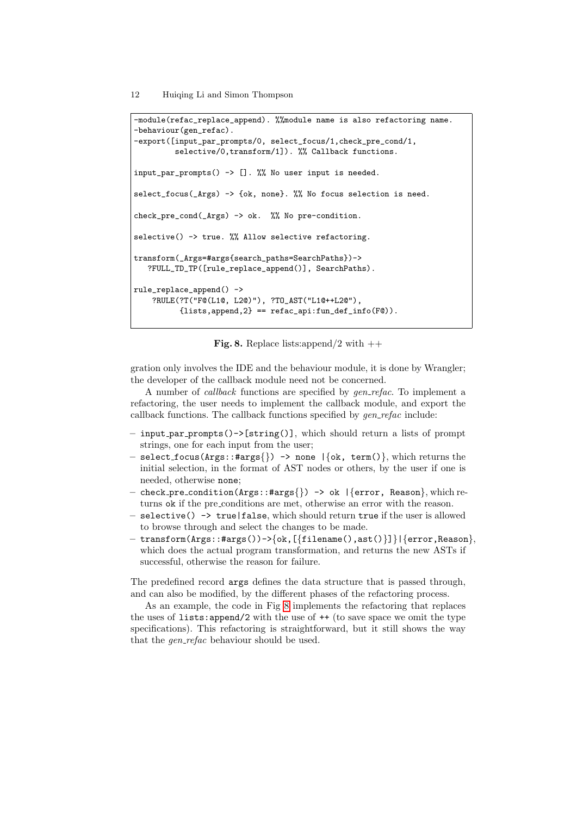```
-module(refac_replace_append). %%module name is also refactoring name.
-behaviour(gen_refac).
-export([input_par_prompts/0, select_focus/1,check_pre_cond/1,
         selective/0,transform/1]). %% Callback functions.
input_par_prompts() -> []. %% No user input is needed.
select_focus(_Args) -> {ok, none}. %% No focus selection is need.
check_pre_cond(_Args) -> ok. %% No pre-condition.
selective() \rightarrow true. %% Allow selective refactoring.
transform(_Args=#args{search_paths=SearchPaths})->
   ?FULL_TD_TP([rule_replace_append()], SearchPaths).
rule_replace_append() ->
    ?RULE(?T("F@(L1@, L2@)"), ?TO_AST("L1@++L2@"),
          {lists, append, 2} == refac\_api:fun\_def\_info(F@)).
```


gration only involves the IDE and the behaviour module, it is done by Wrangler; the developer of the callback module need not be concerned.

A number of *callback* functions are specified by *gen\_refac*. To implement a refactoring, the user needs to implement the callback module, and export the callback functions. The callback functions specified by  $gen\_refac$  include:

- input par prompts()->[string()], which should return a lists of prompt strings, one for each input from the user;
- select\_focus(Args::#args{}) -> none  $|\{ \text{ok, term}() \}$ , which returns the initial selection, in the format of AST nodes or others, by the user if one is needed, otherwise none;
- check pre condition(Args::#args{}) -> ok |{error, Reason}, which returns ok if the pre-conditions are met, otherwise an error with the reason.
- selective() -> true|false, which should return true if the user is allowed to browse through and select the changes to be made.
- transform(Args::#args())->{ok,[{filename(),ast()}]}|{error,Reason}, which does the actual program transformation, and returns the new ASTs if successful, otherwise the reason for failure.

<span id="page-12-1"></span>The predefined record args defines the data structure that is passed through, and can also be modified, by the different phases of the refactoring process.

As an example, the code in Fig [8](#page-11-0) implements the refactoring that replaces the uses of lists: append/2 with the use of  $++$  (to save space we omit the type specifications). This refactoring is straightforward, but it still shows the way that the *gen\_refac* behaviour should be used.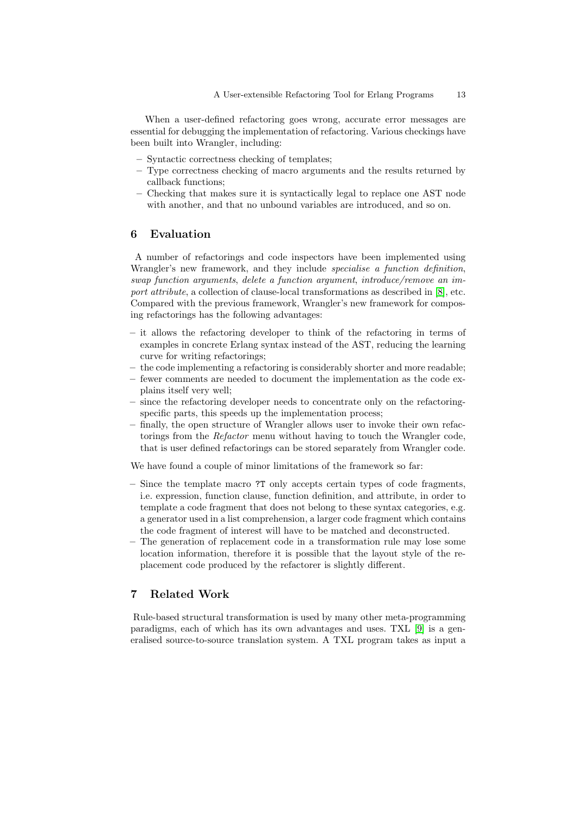When a user-defined refactoring goes wrong, accurate error messages are essential for debugging the implementation of refactoring. Various checkings have been built into Wrangler, including:

- Syntactic correctness checking of templates;
- Type correctness checking of macro arguments and the results returned by callback functions;
- Checking that makes sure it is syntactically legal to replace one AST node with another, and that no unbound variables are introduced, and so on.

#### 6 Evaluation

A number of refactorings and code inspectors have been implemented using Wrangler's new framework, and they include *specialise a function definition*, swap function arguments, delete a function argument, introduce/remove an import attribute, a collection of clause-local transformations as described in [\[8\]](#page-14-8), etc. Compared with the previous framework, Wrangler's new framework for composing refactorings has the following advantages:

- it allows the refactoring developer to think of the refactoring in terms of examples in concrete Erlang syntax instead of the AST, reducing the learning curve for writing refactorings;
- the code implementing a refactoring is considerably shorter and more readable;
- fewer comments are needed to document the implementation as the code explains itself very well;
- since the refactoring developer needs to concentrate only on the refactoringspecific parts, this speeds up the implementation process;
- finally, the open structure of Wrangler allows user to invoke their own refactorings from the Refactor menu without having to touch the Wrangler code, that is user defined refactorings can be stored separately from Wrangler code.

We have found a couple of minor limitations of the framework so far:

- Since the template macro ?T only accepts certain types of code fragments, i.e. expression, function clause, function definition, and attribute, in order to template a code fragment that does not belong to these syntax categories, e.g. a generator used in a list comprehension, a larger code fragment which contains the code fragment of interest will have to be matched and deconstructed.
- The generation of replacement code in a transformation rule may lose some location information, therefore it is possible that the layout style of the replacement code produced by the refactorer is slightly different.

## 7 Related Work

Rule-based structural transformation is used by many other meta-programming paradigms, each of which has its own advantages and uses. TXL [\[9\]](#page-14-9) is a generalised source-to-source translation system. A TXL program takes as input a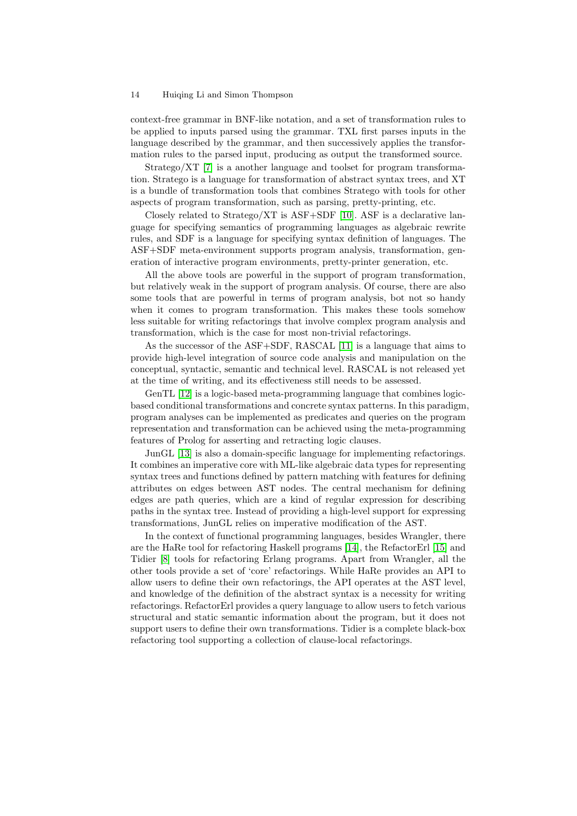<span id="page-14-2"></span>context-free grammar in BNF-like notation, and a set of transformation rules to be applied to inputs parsed using the grammar. TXL first parses inputs in the language described by the grammar, and then successively applies the transformation rules to the parsed input, producing as output the transformed source.

Stratego/XT [\[7\]](#page-14-7) is a another language and toolset for program transformation. Stratego is a language for transformation of abstract syntax trees, and XT is a bundle of transformation tools that combines Stratego with tools for other aspects of program transformation, such as parsing, pretty-printing, etc.

Closely related to Stratego/XT is  $\text{ASF}+\text{SDF}$  [\[10\]](#page-14-10). ASF is a declarative language for specifying semantics of programming languages as algebraic rewrite rules, and SDF is a language for specifying syntax definition of languages. The ASF+SDF meta-environment supports program analysis, transformation, generation of interactive program environments, pretty-printer generation, etc.

All the above tools are powerful in the support of program transformation, but relatively weak in the support of program analysis. Of course, there are also some tools that are powerful in terms of program analysis, bot not so handy when it comes to program transformation. This makes these tools somehow less suitable for writing refactorings that involve complex program analysis and transformation, which is the case for most non-trivial refactorings.

<span id="page-14-0"></span>As the successor of the ASF+SDF, RASCAL [\[11\]](#page-14-11) is a language that aims to provide high-level integration of source code analysis and manipulation on the conceptual, syntactic, semantic and technical level. RASCAL is not released yet at the time of writing, and its effectiveness still needs to be assessed.

<span id="page-14-4"></span><span id="page-14-3"></span><span id="page-14-1"></span>GenTL [\[12\]](#page-14-12) is a logic-based meta-programming language that combines logicbased conditional transformations and concrete syntax patterns. In this paradigm, program analyses can be implemented as predicates and queries on the program representation and transformation can be achieved using the meta-programming features of Prolog for asserting and retracting logic clauses.

<span id="page-14-8"></span><span id="page-14-7"></span><span id="page-14-6"></span><span id="page-14-5"></span>JunGL [\[13\]](#page-14-13) is also a domain-specific language for implementing refactorings. It combines an imperative core with ML-like algebraic data types for representing syntax trees and functions defined by pattern matching with features for defining attributes on edges between AST nodes. The central mechanism for defining edges are path queries, which are a kind of regular expression for describing paths in the syntax tree. Instead of providing a high-level support for expressing transformations, JunGL relies on imperative modification of the AST.

<span id="page-14-15"></span><span id="page-14-14"></span><span id="page-14-13"></span><span id="page-14-12"></span><span id="page-14-11"></span><span id="page-14-10"></span><span id="page-14-9"></span>In the context of functional programming languages, besides Wrangler, there are the HaRe tool for refactoring Haskell programs [\[14\]](#page-14-14), the RefactorErl [\[15\]](#page-14-15) and Tidier [\[8\]](#page-14-8) tools for refactoring Erlang programs. Apart from Wrangler, all the other tools provide a set of 'core' refactorings. While HaRe provides an API to allow users to define their own refactorings, the API operates at the AST level, and knowledge of the definition of the abstract syntax is a necessity for writing refactorings. RefactorErl provides a query language to allow users to fetch various structural and static semantic information about the program, but it does not support users to define their own transformations. Tidier is a complete black-box refactoring tool supporting a collection of clause-local refactorings.